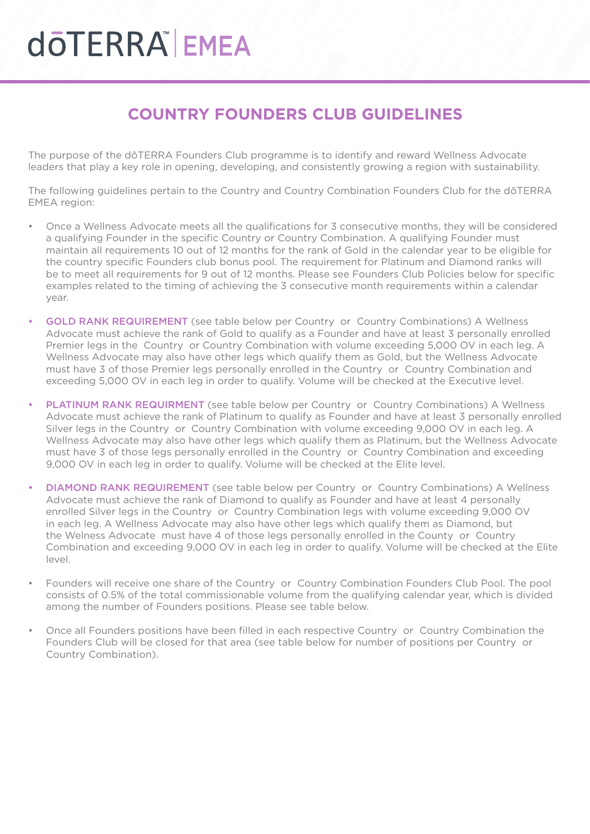## **COTERRA EMEA**

#### **COUNTRY FOUNDERS CLUB GUIDELINES**

The purpose of the dōTERRA Founders Club programme is to identify and reward Wellness Advocate leaders that play a key role in opening, developing, and consistently growing a region with sustainability.

The following guidelines pertain to the Country and Country Combination Founders Club for the dōTERRA EMEA region:

- Once a Wellness Advocate meets all the qualifications for 3 consecutive months, they will be considered a qualifying Founder in the specific Country or Country Combination. A qualifying Founder must maintain all requirements 10 out of 12 months for the rank of Gold in the calendar year to be eligible for the country specific Founders club bonus pool. The requirement for Platinum and Diamond ranks will be to meet all requirements for 9 out of 12 months. Please see Founders Club Policies below for specific examples related to the timing of achieving the 3 consecutive month requirements within a calendar year.
- GOLD RANK REQUIREMENT (see table below per Country or Country Combinations) A Wellness Advocate must achieve the rank of Gold to qualify as a Founder and have at least 3 personally enrolled Premier legs in the Country or Country Combination with volume exceeding 5,000 OV in each leg. A Wellness Advocate may also have other legs which qualify them as Gold, but the Wellness Advocate must have 3 of those Premier legs personally enrolled in the Country or Country Combination and exceeding 5,000 OV in each leg in order to qualify. Volume will be checked at the Executive level.
- PLATINUM RANK REQUIRMENT (see table below per Country or Country Combinations) A Wellness Advocate must achieve the rank of Platinum to qualify as Founder and have at least 3 personally enrolled Silver legs in the Country or Country Combination with volume exceeding 9,000 OV in each leg. A Wellness Advocate may also have other legs which qualify them as Platinum, but the Wellness Advocate must have 3 of those legs personally enrolled in the Country or Country Combination and exceeding 9,000 OV in each leg in order to qualify. Volume will be checked at the Elite level.
- DIAMOND RANK REQUIREMENT (see table below per Country or Country Combinations) A Wellness Advocate must achieve the rank of Diamond to qualify as Founder and have at least 4 personally enrolled Silver legs in the Country or Country Combination legs with volume exceeding 9,000 OV in each leg. A Wellness Advocate may also have other legs which qualify them as Diamond, but the Welness Advocate must have 4 of those legs personally enrolled in the County or Country Combination and exceeding 9,000 OV in each leg in order to qualify. Volume will be checked at the Elite level.
- Founders will receive one share of the Country or Country Combination Founders Club Pool. The pool consists of 0.5% of the total commissionable volume from the qualifying calendar year, which is divided among the number of Founders positions. Please see table below.
- Once all Founders positions have been filled in each respective Country or Country Combination the Founders Club will be closed for that area (see table below for number of positions per Country or Country Combination).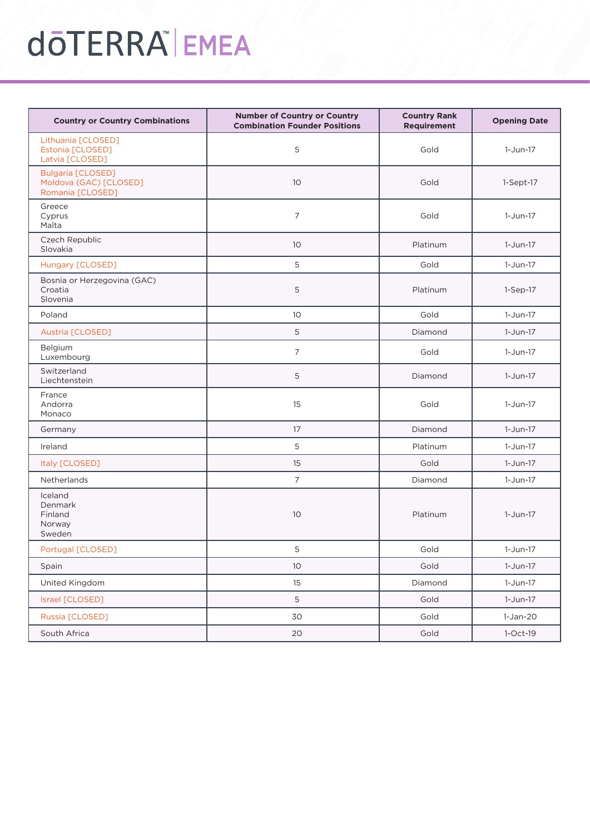# **döTERRA EMEA**

| <b>Country or Country Combinations</b>                                 | <b>Number of Country or Country</b><br><b>Combination Founder Positions</b> | <b>Country Rank</b><br>Requirement | <b>Opening Date</b> |
|------------------------------------------------------------------------|-----------------------------------------------------------------------------|------------------------------------|---------------------|
| Lithuania [CLOSED]<br>Estonia [CLOSED]<br>Latvia [CLOSED]              | 5                                                                           | Gold                               | 1-Jun-17            |
| <b>Bulgaria [CLOSED]</b><br>Moldova (GAC) [CLOSED]<br>Romania [CLOSED] | 10                                                                          | Gold                               | $1-Sept-17$         |
| Greece<br>Cyprus<br>Malta                                              | 7                                                                           | Gold                               | $1-Jun-17$          |
| Czech Republic<br>Slovakia                                             | 10                                                                          | Platinum                           | 1-Jun-17            |
| Hungary [CLOSED]                                                       | 5                                                                           | Gold                               | 1-Jun-17            |
| Bosnia or Herzegovina (GAC)<br>Croatia<br>Slovenia                     | 5                                                                           | Platinum                           | $1-Sep-17$          |
| Poland                                                                 | 10 <sup>°</sup>                                                             | Gold                               | $1-Jun-17$          |
| Austria [CLOSED]                                                       | 5                                                                           | Diamond                            | $1-Jun-17$          |
| Belgium<br>Luxembourg                                                  | 7                                                                           | Gold                               | 1-Jun-17            |
| Switzerland<br>Liechtenstein                                           | 5                                                                           | Diamond                            | 1-Jun-17            |
| France<br>Andorra<br>Monaco                                            | 15                                                                          | Gold                               | $1-Jun-17$          |
| Germany                                                                | 17                                                                          | Diamond                            | 1-Jun-17            |
| Ireland                                                                | 5                                                                           | Platinum                           | $1-Jun-17$          |
| Italy [CLOSED]                                                         | Gold<br>15                                                                  |                                    | $1-Jun-17$          |
| Netherlands                                                            | $\overline{7}$                                                              | Diamond                            | $1-Jun-17$          |
| Iceland<br>Denmark<br>Finland<br>Norway<br>Sweden                      | 10                                                                          | Platinum                           | $1-Jun-17$          |
| Portugal [CLOSED]                                                      | 5                                                                           | Gold                               | 1-Jun-17            |
| Spain                                                                  | 10                                                                          | Gold                               | $1-Jun-17$          |
| United Kingdom                                                         | 15                                                                          | Diamond                            | $1-Jun-17$          |
| Israel [CLOSED]                                                        | 5                                                                           | Gold                               | 1-Jun-17            |
| Russia [CLOSED]                                                        | 30                                                                          | Gold                               | 1-Jan-20            |
| South Africa                                                           | $20\,$                                                                      | Gold                               | $1-Oct-19$          |